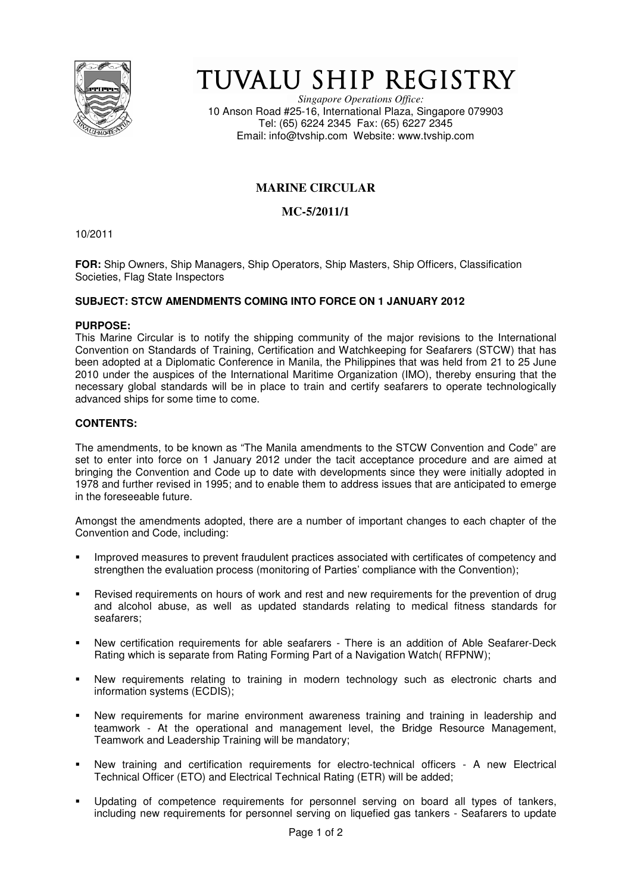

# TUVALU SHIP REGISTRY

*Singapore Operations Office:* 10 Anson Road #25-16, International Plaza, Singapore 079903 Tel: (65) 6224 2345 Fax: (65) 6227 2345 Email: info@tvship.com Website: www.tvship.com

# **MARINE CIRCULAR**

## **MC-5/2011/1**

10/2011

**FOR:** Ship Owners, Ship Managers, Ship Operators, Ship Masters, Ship Officers, Classification Societies, Flag State Inspectors

### **SUBJECT: STCW AMENDMENTS COMING INTO FORCE ON 1 JANUARY 2012**

#### **PURPOSE:**

This Marine Circular is to notify the shipping community of the major revisions to the International Convention on Standards of Training, Certification and Watchkeeping for Seafarers (STCW) that has been adopted at a Diplomatic Conference in Manila, the Philippines that was held from 21 to 25 June 2010 under the auspices of the International Maritime Organization (IMO), thereby ensuring that the necessary global standards will be in place to train and certify seafarers to operate technologically advanced ships for some time to come.

#### **CONTENTS:**

The amendments, to be known as "The Manila amendments to the STCW Convention and Code" are set to enter into force on 1 January 2012 under the tacit acceptance procedure and are aimed at bringing the Convention and Code up to date with developments since they were initially adopted in 1978 and further revised in 1995; and to enable them to address issues that are anticipated to emerge in the foreseeable future.

Amongst the amendments adopted, there are a number of important changes to each chapter of the Convention and Code, including:

- Improved measures to prevent fraudulent practices associated with certificates of competency and strengthen the evaluation process (monitoring of Parties' compliance with the Convention);
- Revised requirements on hours of work and rest and new requirements for the prevention of drug and alcohol abuse, as well as updated standards relating to medical fitness standards for seafarers;
- New certification requirements for able seafarers There is an addition of Able Seafarer-Deck Rating which is separate from Rating Forming Part of a Navigation Watch( RFPNW);
- New requirements relating to training in modern technology such as electronic charts and information systems (ECDIS);
- New requirements for marine environment awareness training and training in leadership and teamwork - At the operational and management level, the Bridge Resource Management, Teamwork and Leadership Training will be mandatory;
- New training and certification requirements for electro-technical officers A new Electrical Technical Officer (ETO) and Electrical Technical Rating (ETR) will be added;
- Updating of competence requirements for personnel serving on board all types of tankers, including new requirements for personnel serving on liquefied gas tankers - Seafarers to update